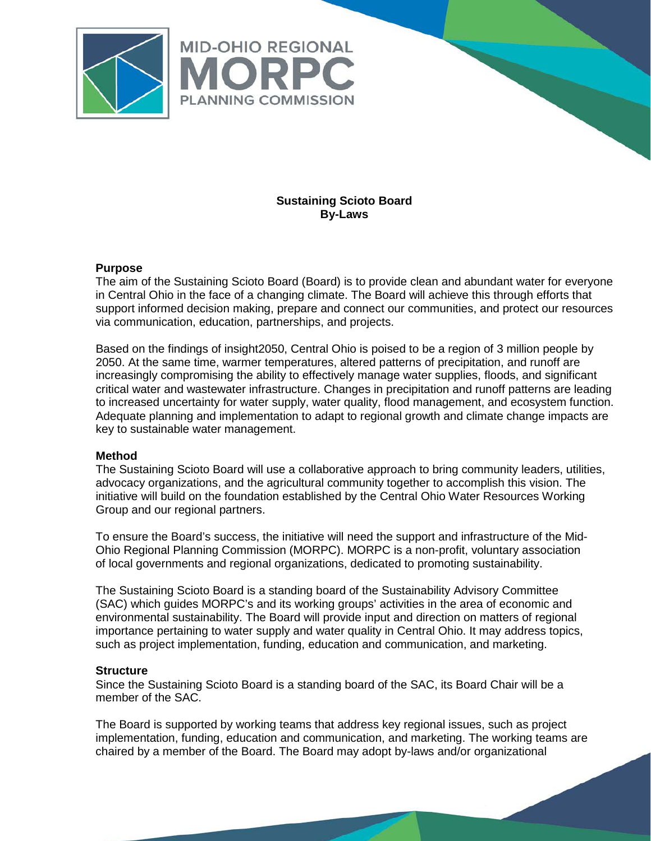

# **Sustaining Scioto Board By-Laws**

#### **Purpose**

The aim of the Sustaining Scioto Board (Board) is to provide clean and abundant water for everyone in Central Ohio in the face of a changing climate. The Board will achieve this through efforts that support informed decision making, prepare and connect our communities, and protect our resources via communication, education, partnerships, and projects.

Based on the findings of insight2050, Central Ohio is poised to be a region of 3 million people by 2050. At the same time, warmer temperatures, altered patterns of precipitation, and runoff are increasingly compromising the ability to effectively manage water supplies, floods, and significant critical water and wastewater infrastructure. Changes in precipitation and runoff patterns are leading to increased uncertainty for water supply, water quality, flood management, and ecosystem function. Adequate planning and implementation to adapt to regional growth and climate change impacts are key to sustainable water management.

### **Method**

The Sustaining Scioto Board will use a collaborative approach to bring community leaders, utilities, advocacy organizations, and the agricultural community together to accomplish this vision. The initiative will build on the foundation established by the Central Ohio Water Resources Working Group and our regional partners.

To ensure the Board's success, the initiative will need the support and infrastructure of the Mid-Ohio Regional Planning Commission (MORPC). MORPC is a non-profit, voluntary association of local governments and regional organizations, dedicated to promoting sustainability.

The Sustaining Scioto Board is a standing board of the Sustainability Advisory Committee (SAC) which guides MORPC's and its working groups' activities in the area of economic and environmental sustainability. The Board will provide input and direction on matters of regional importance pertaining to water supply and water quality in Central Ohio. It may address topics, such as project implementation, funding, education and communication, and marketing.

### **Structure**

Since the Sustaining Scioto Board is a standing board of the SAC, its Board Chair will be a member of the SAC.

The Board is supported by working teams that address key regional issues, such as project implementation, funding, education and communication, and marketing. The working teams are chaired by a member of the Board. The Board may adopt by-laws and/or organizational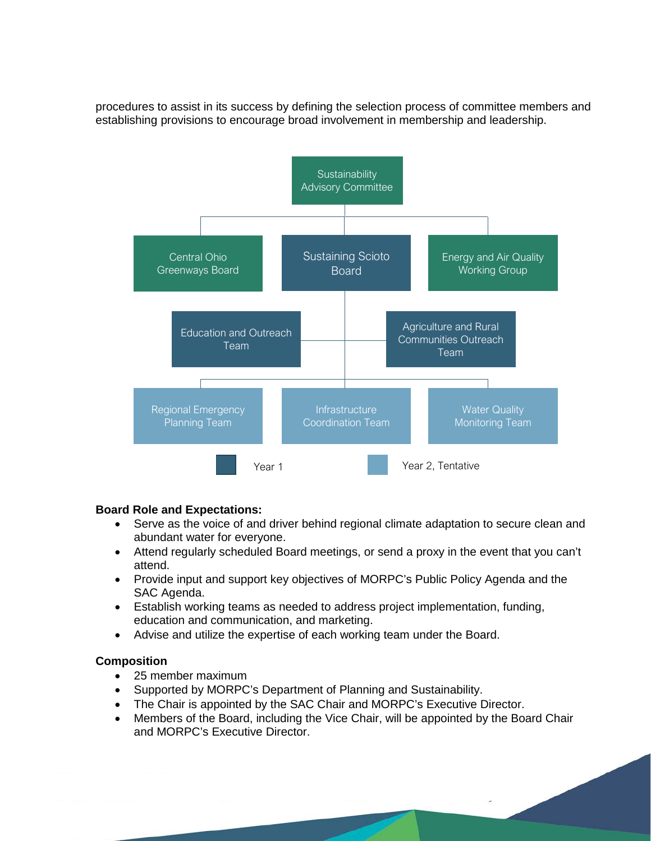procedures to assist in its success by defining the selection process of committee members and establishing provisions to encourage broad involvement in membership and leadership.



### **Board Role and Expectations:**

- Serve as the voice of and driver behind regional climate adaptation to secure clean and abundant water for everyone.
- Attend regularly scheduled Board meetings, or send a proxy in the event that you can't attend.
- Provide input and support key objectives of MORPC's Public Policy Agenda and the SAC Agenda.
- Establish working teams as needed to address project implementation, funding, education and communication, and marketing.
- Advise and utilize the expertise of each working team under the Board.

## **Composition**

- 25 member maximum
- Supported by MORPC's Department of Planning and Sustainability.
- The Chair is appointed by the SAC Chair and MORPC's Executive Director.
- Members of the Board, including the Vice Chair, will be appointed by the Board Chair and MORPC's Executive Director.